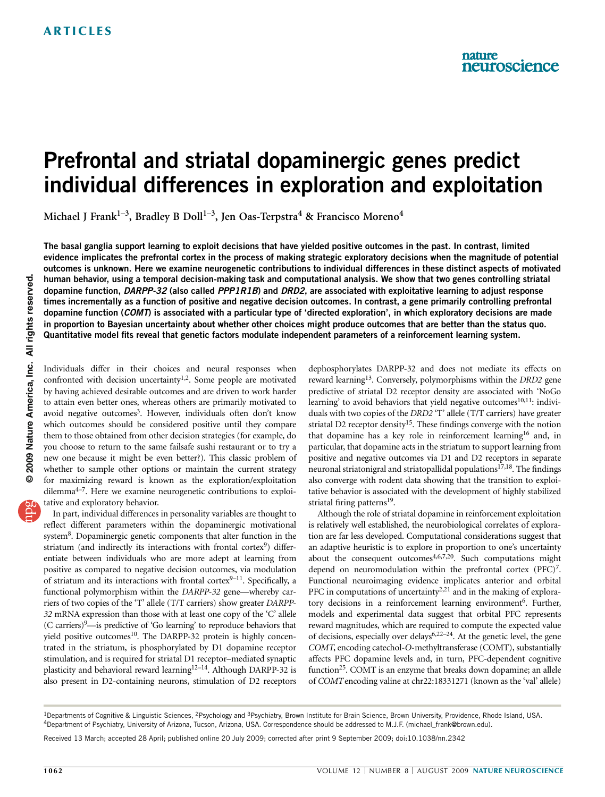# Prefrontal and striatal dopaminergic genes predict individual differences in exploration and exploitation

Michael J Frank<sup>1-3</sup>, Bradley B Doll<sup>1-3</sup>, Jen Oas-Terpstra<sup>4</sup> & Francisco Moreno<sup>4</sup>

The basal ganglia support learning to exploit decisions that have yielded positive outcomes in the past. In contrast, limited evidence implicates the prefrontal cortex in the process of making strategic exploratory decisions when the magnitude of potential outcomes is unknown. Here we examine neurogenetic contributions to individual differences in these distinct aspects of motivated human behavior, using a temporal decision-making task and computational analysis. We show that two genes controlling striatal dopamine function, DARPP-32 (also called PPP1R1B) and DRD2, are associated with exploitative learning to adjust response times incrementally as a function of positive and negative decision outcomes. In contrast, a gene primarily controlling prefrontal dopamine function (COMT) is associated with a particular type of 'directed exploration', in which exploratory decisions are made in proportion to Bayesian uncertainty about whether other choices might produce outcomes that are better than the status quo. Quantitative model fits reveal that genetic factors modulate independent parameters of a reinforcement learning system.

Individuals differ in their choices and neural responses when confronted with decision uncertainty<sup>1,2</sup>. Some people are motivated by having achieved desirable outcomes and are driven to work harder to attain even better ones, whereas others are primarily motivated to avoid negative outcomes<sup>3</sup>. However, individuals often don't know which outcomes should be considered positive until they compare them to those obtained from other decision strategies (for example, do you choose to return to the same failsafe sushi restaurant or to try a new one because it might be even better?). This classic problem of whether to sample other options or maintain the current strategy for maximizing reward is known as the exploration/exploitation dilemm[a4–7.](#page-6-0) Here we examine neurogenetic contributions to exploitative and exploratory behavior.

In part, individual differences in personality variables are thought to reflect different parameters within the dopaminergic motivational system<sup>8</sup>. Dopaminergic genetic components that alter function in the striatum (and indirectly its interactions with frontal cortex $9$ ) differentiate between individuals who are more adept at learning from positive as compared to negative decision outcomes, via modulation of striatum and its interactions with frontal cortex $9-11$ . Specifically, a functional polymorphism within the DARPP-32 gene—whereby carriers of two copies of the 'T' allele (T/T carriers) show greater DARPP-32 mRNA expression than those with at least one copy of the 'C' allele (C carriers)<sup>9</sup>—is predictive of 'Go learning' to reproduce behaviors that yield positive outcomes<sup>10</sup>. The DARPP-32 protein is highly concentrated in the striatum, is phosphorylated by D1 dopamine receptor stimulation, and is required for striatal D1 receptor–mediated synaptic plasticity and behavioral reward learning<sup>12-14</sup>. Although DARPP-32 is also present in D2-containing neurons, stimulation of D2 receptors

dephosphorylates DARPP-32 and does not mediate its effects on reward learning<sup>13</sup>. Conversely, polymorphisms within the *DRD2* gene predictive of striatal D2 receptor density are associated with 'NoGo learning' to avoid behaviors that yield negative outcomes $10,11$ : individuals with two copies of the DRD2 'T' allele (T/T carriers) have greater striatal D2 receptor density<sup>15</sup>. These findings converge with the notion that dopamine has a key role in reinforcement learning<sup>16</sup> and, in particular, that dopamine acts in the striatum to support learning from positive and negative outcomes via D1 and D2 receptors in separate neuronal striatonigral and striatopallidal populations<sup>17,18</sup>. The findings also converge with rodent data showing that the transition to exploitative behavior is associated with the development of highly stabilized striatal firing patterns<sup>[19](#page-6-0)</sup>.

Although the role of striatal dopamine in reinforcement exploitation is relatively well established, the neurobiological correlates of exploration are far less developed. Computational considerations suggest that an adaptive heuristic is to explore in proportion to one's uncertainty about the consequent outcomes $4,6,7,20$ . Such computations might depend on neuromodulation within the prefrontal cortex (PFC)<sup>7</sup>. Functional neuroimaging evidence implicates anterior and orbital PFC in computations of uncertainty<sup>2,21</sup> and in the making of exploratory decisions in a reinforcement learning environment<sup>6</sup>. Further, models and experimental data suggest that orbital PFC represents reward magnitudes, which are required to compute the expected value of decisions, especially over delays<sup>6,22–24</sup>. At the genetic level, the gene COMT, encoding catechol-O-methyltransferase (COMT), substantially affects PFC dopamine levels and, in turn, PFC-dependent cognitive function<sup>25</sup>. COMT is an enzyme that breaks down dopamine; an allele of COMTencoding valine at chr22:18331271 (known as the 'val' allele)

<sup>&</sup>lt;sup>1</sup>Departments of Cognitive & Linguistic Sciences, <sup>2</sup>Psychology and <sup>3</sup>Psychiatry, Brown Institute for Brain Science, Brown University, Providence, Rhode Island, USA. 4Department of Psychiatry, University of Arizona, Tucson, Arizona, USA. Correspondence should be addressed to M.J.F. ([michael\\_frank@brown.edu](mailto:michael_frank@brown.edu)).

Received 13 March; accepted 28 April; published online 20 July 2009; corrected after print 9 September 2009; [doi:10.1038/nn.2342](http://www.nature.com/doifinder/10.1038/nn.2342)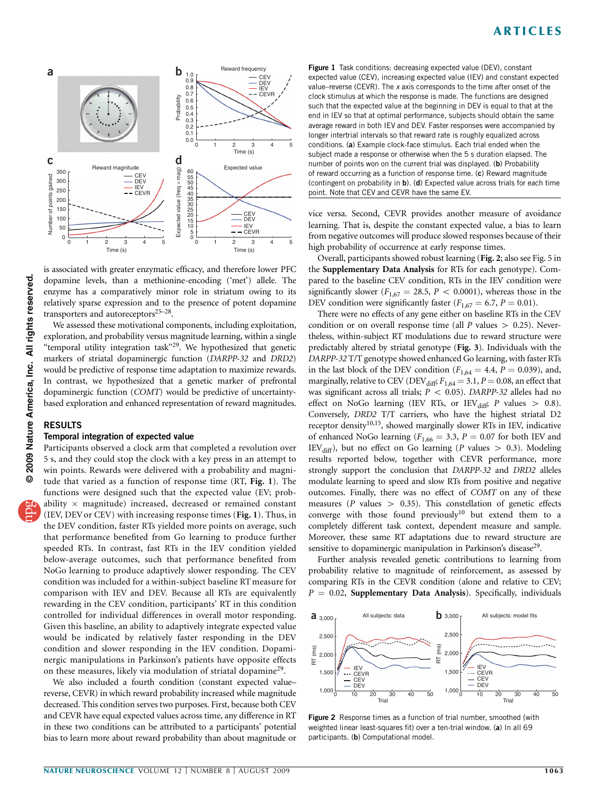

is associated with greater enzymatic efficacy, and therefore lower PFC dopamine levels, than a methionine-encoding ('met') allele. The enzyme has a comparatively minor role in striatum owing to its relatively sparse expression and to the presence of potent dopamine transporters and autoreceptors $25-28$ .

We assessed these motivational components, including exploitation, exploration, and probability versus magnitude learning, within a single "temporal utility integration task"<sup>29</sup>. We hypothesized that genetic markers of striatal dopaminergic function (DARPP-32 and DRD2) would be predictive of response time adaptation to maximize rewards. In contrast, we hypothesized that a genetic marker of prefrontal dopaminergic function (COMT) would be predictive of uncertaintybased exploration and enhanced representation of reward magnitudes.

### RESULTS

#### Temporal integration of expected value

Participants observed a clock arm that completed a revolution over 5 s, and they could stop the clock with a key press in an attempt to win points. Rewards were delivered with a probability and magnitude that varied as a function of response time (RT, Fig. 1). The functions were designed such that the expected value (EV; probability  $\times$  magnitude) increased, decreased or remained constant (IEV, DEV or CEV) with increasing response times (Fig. 1). Thus, in the DEV condition, faster RTs yielded more points on average, such that performance benefited from Go learning to produce further speeded RTs. In contrast, fast RTs in the IEV condition yielded below-average outcomes, such that performance benefited from NoGo learning to produce adaptively slower responding. The CEV condition was included for a within-subject baseline RT measure for comparison with IEV and DEV. Because all RTs are equivalently rewarding in the CEV condition, participants' RT in this condition controlled for individual differences in overall motor responding. Given this baseline, an ability to adaptively integrate expected value would be indicated by relatively faster responding in the DEV condition and slower responding in the IEV condition. Dopaminergic manipulations in Parkinson's patients have opposite effects on these measures, likely via modulation of striatal dopamine<sup>[29](#page-6-0)</sup>.

We also included a fourth condition (constant expected value– reverse, CEVR) in which reward probability increased while magnitude decreased. This condition serves two purposes. First, because both CEV and CEVR have equal expected values across time, any difference in RT in these two conditions can be attributed to a participants' potential bias to learn more about reward probability than about magnitude or Figure 1 Task conditions: decreasing expected value (DEV), constant expected value (CEV), increasing expected value (IEV) and constant expected value–reverse (CEVR). The  $x$  axis corresponds to the time after onset of the clock stimulus at which the response is made. The functions are designed such that the expected value at the beginning in DEV is equal to that at the end in IEV so that at optimal performance, subjects should obtain the same average reward in both IEV and DEV. Faster responses were accompanied by longer intertrial intervals so that reward rate is roughly equalized across conditions. (a) Example clock-face stimulus. Each trial ended when the subject made a response or otherwise when the 5 s duration elapsed. The number of points won on the current trial was displayed. (b) Probability of reward occurring as a function of response time. (c) Reward magnitude (contingent on probability in b). (d) Expected value across trials for each time point. Note that CEV and CEVR have the same EV.

vice versa. Second, CEVR provides another measure of avoidance learning. That is, despite the constant expected value, a bias to learn from negative outcomes will produce slowed responses because of their high probability of occurrence at early response times.

Overall, participants showed robust learning (Fig. 2; also see Fig. 5 in the Supplementary Data Analysis for RTs for each genotype). Compared to the baseline CEV condition, RTs in the IEV condition were significantly slower ( $F_{1,67} = 28.5$ ,  $P < 0.0001$ ), whereas those in the DEV condition were significantly faster ( $F_{1,67} = 6.7$ ,  $P = 0.01$ ).

There were no effects of any gene either on baseline RTs in the CEV condition or on overall response time (all  $P$  values  $> 0.25$ ). Nevertheless, within-subject RT modulations due to reward structure were predictably altered by striatal genotype (Fig. 3). Individuals with the DARPP-32 T/T genotype showed enhanced Go learning, with faster RTs in the last block of the DEV condition ( $F_{1,64} = 4.4$ ,  $P = 0.039$ ), and, marginally, relative to CEV (DEV $_{\text{diff}}$ ,  $F_{1,64} = 3.1$ ,  $P = 0.08$ , an effect that was significant across all trials;  $P < 0.05$ ). DARPP-32 alleles had no effect on NoGo learning (IEV RTs, or IEV $_{diff}$ ; P values > 0.8). Conversely, DRD2 T/T carriers, who have the highest striatal D2 receptor density<sup>[10,15](#page-6-0)</sup>, showed marginally slower RTs in IEV, indicative of enhanced NoGo learning ( $F_{1,66} = 3.3$ ,  $P = 0.07$  for both IEV and IEV<sub>diff</sub>), but no effect on Go learning (P values  $> 0.3$ ). Modeling results reported below, together with CEVR performance, more strongly support the conclusion that DARPP-32 and DRD2 alleles modulate learning to speed and slow RTs from positive and negative outcomes. Finally, there was no effect of COMT on any of these measures ( $P$  values  $> 0.35$ ). This constellation of genetic effects converge with those found previously<sup>10</sup> but extend them to a completely different task context, dependent measure and sample. Moreover, these same RT adaptations due to reward structure are sensitive to dopaminergic manipulation in Parkinson's disease<sup>29</sup>.

Further analysis revealed genetic contributions to learning from probability relative to magnitude of reinforcement, as assessed by comparing RTs in the CEVR condition (alone and relative to CEV;  $P = 0.02$ , Supplementary Data Analysis). Specifically, individuals



Figure 2 Response times as a function of trial number, smoothed (with weighted linear least-squares fit) over a ten-trial window. (a) In all 69 participants. (b) Computational model.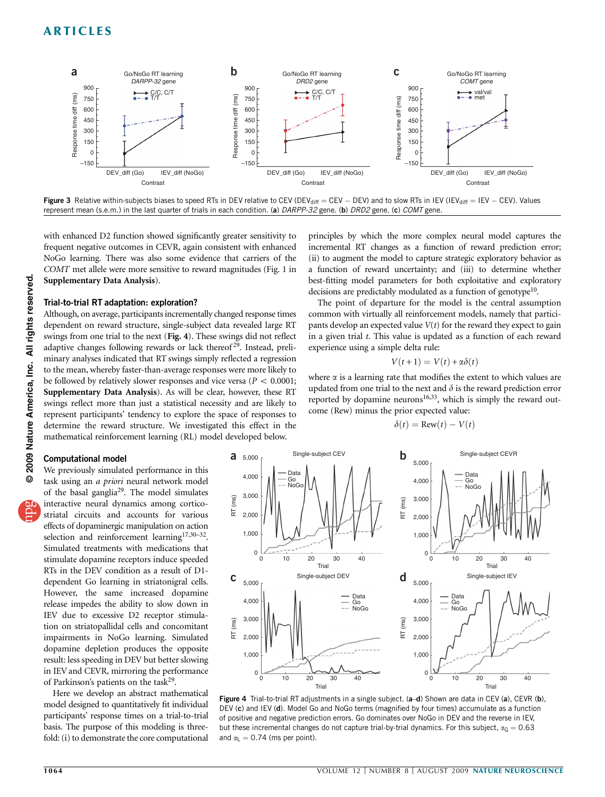

Figure 3 Relative within-subjects biases to speed RTs in DEV relative to CEV (DEV<sub>diff</sub> = CEV - DEV) and to slow RTs in IEV (IEV<sub>diff</sub> = IEV - CEV). Values represent mean (s.e.m.) in the last quarter of trials in each condition. (a) DARPP-32 gene. (b) DRD2 gene. (c) COMT gene.

with enhanced D2 function showed significantly greater sensitivity to frequent negative outcomes in CEVR, again consistent with enhanced NoGo learning. There was also some evidence that carriers of the COMT met allele were more sensitive to reward magnitudes (Fig. 1 in Supplementary Data Analysis).

#### Trial-to-trial RT adaptation: exploration?

Although, on average, participants incrementally changed response times dependent on reward structure, single-subject data revealed large RT swings from one trial to the next (Fig. 4). These swings did not reflect adaptive changes following rewards or lack thereof<sup>[29](#page-6-0)</sup>. Instead, preliminary analyses indicated that RT swings simply reflected a regression to the mean, whereby faster-than-average responses were more likely to be followed by relatively slower responses and vice versa ( $P < 0.0001$ ; Supplementary Data Analysis). As will be clear, however, these RT swings reflect more than just a statistical necessity and are likely to represent participants' tendency to explore the space of responses to determine the reward structure. We investigated this effect in the mathematical reinforcement learning (RL) model developed below.

principles by which the more complex neural model captures the incremental RT changes as a function of reward prediction error; (ii) to augment the model to capture strategic exploratory behavior as a function of reward uncertainty; and (iii) to determine whether best-fitting model parameters for both exploitative and exploratory decisions are predictably modulated as a function of genotype<sup>10</sup>.

The point of departure for the model is the central assumption common with virtually all reinforcement models, namely that participants develop an expected value  $V(t)$  for the reward they expect to gain in a given trial t. This value is updated as a function of each reward experience using a simple delta rule:

$$
V(t+1) = V(t) + \alpha \delta(t)
$$

where  $\alpha$  is a learning rate that modifies the extent to which values are updated from one trial to the next and  $\delta$  is the reward prediction error reported by dopamine neurons $16,33$ , which is simply the reward outcome (Rew) minus the prior expected value:

$$
\delta(t) = \text{Row}(t) - V(t)
$$

#### Computational model

We previously simulated performance in this task using an a priori neural network model of the basal gangli[a29.](#page-6-0) The model simulates interactive neural dynamics among corticostriatal circuits and accounts for various effects of dopaminergic manipulation on action selection and reinforcement learning<sup>[17,30–32](#page-6-0)</sup>. Simulated treatments with medications that stimulate dopamine receptors induce speeded RTs in the DEV condition as a result of D1 dependent Go learning in striatonigral cells. However, the same increased dopamine release impedes the ability to slow down in IEV due to excessive D2 receptor stimulation on striatopallidal cells and concomitant impairments in NoGo learning. Simulated dopamine depletion produces the opposite result: less speeding in DEV but better slowing in IEV and CEVR, mirroring the performance of Parkinson's patients on the task[29](#page-6-0).

Here we develop an abstract mathematical model designed to quantitatively fit individual participants' response times on a trial-to-trial basis. The purpose of this modeling is threefold: (i) to demonstrate the core computational



Figure 4 Trial-to-trial RT adjustments in a single subject. (a-d) Shown are data in CEV (a), CEVR (b), DEV (c) and IEV (d). Model Go and NoGo terms (magnified by four times) accumulate as a function of positive and negative prediction errors. Go dominates over NoGo in DEV and the reverse in IEV, but these incremental changes do not capture trial-by-trial dynamics. For this subject,  $\alpha_G = 0.63$ and  $\alpha_{\parallel} = 0.74$  (ms per point).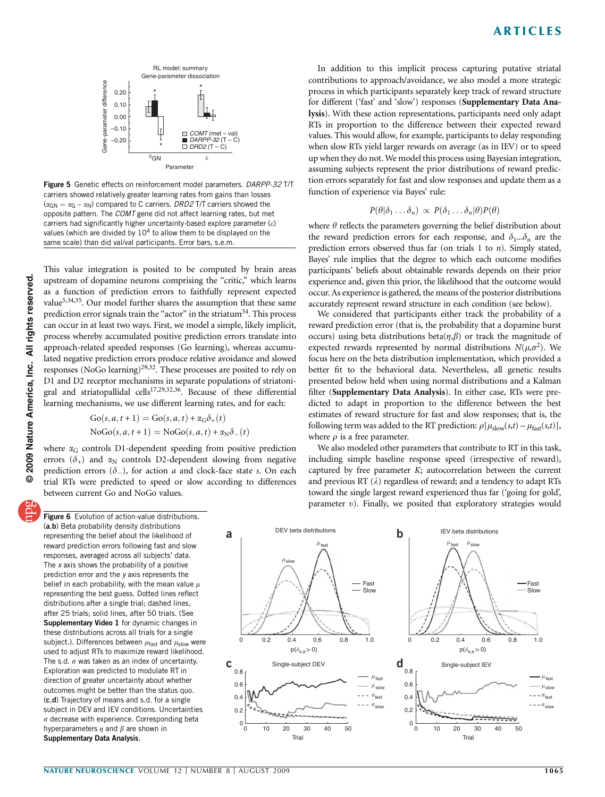

Figure 5 Genetic effects on reinforcement model parameters. DARPP-32 T/T carriers showed relatively greater learning rates from gains than losses  $(\alpha_{GN} = \alpha_G - \alpha_N)$  compared to C carriers. DRD2 T/T carriers showed the opposite pattern. The COMT gene did not affect learning rates, but met carriers had significantly higher uncertainty-based explore parameter  $(e)$ values (which are divided by  $10<sup>4</sup>$  to allow them to be displayed on the same scale) than did val/val participants. Error bars, s.e.m.

This value integration is posited to be computed by brain areas upstream of dopamine neurons comprising the "critic," which learns as a function of prediction errors to faithfully represent expected value<sup>5,34,35</sup>. Our model further shares the assumption that these same prediction error signals train the " $actor$ " in the striatum<sup>34</sup>. This process can occur in at least two ways. First, we model a simple, likely implicit, process whereby accumulated positive prediction errors translate into approach-related speeded responses (Go learning), whereas accumulated negative prediction errors produce relative avoidance and slowed responses (NoGo learning)<sup>29,32</sup>. These processes are posited to rely on D1 and D2 receptor mechanisms in separate populations of striatonigral and striatopallidal cells<sup>17,29,32,36</sup>. Because of these differential learning mechanisms, we use different learning rates, and for each:

> $Go(s, a, t+1) = Go(s, a, t) + \alpha_G \delta_+(t)$  $Nogo(s, a, t+1) = Nogo(s, a, t) + \alpha_N \delta(t)$

where  $\alpha_G$  controls D1-dependent speeding from positive prediction errors  $(\delta_+)$  and  $\alpha_N$  controls D2-dependent slowing from negative prediction errors  $(\delta_-)$ , for action a and clock-face state s. On each trial RTs were predicted to speed or slow according to differences between current Go and NoGo values.

**Figure 6** Evolution of action-value distributions. (a,b) Beta probability density distributions representing the belief about the likelihood of reward prediction errors following fast and slow responses, averaged across all subjects' data. The  $x$  axis shows the probability of a positive prediction error and the y axis represents the belief in each probability, with the mean value  $\mu$ representing the best guess. Dotted lines reflect distributions after a single trial; dashed lines, after 25 trials; solid lines, after 50 trials. (See Supplementary Video 1 for dynamic changes in these distributions across all trials for a single subject.). Differences between  $\mu_{\text{fast}}$  and  $\mu_{\text{slow}}$  were used to adjust RTs to maximize reward likelihood. The s.d.  $\sigma$  was taken as an index of uncertainty. Exploration was predicted to modulate RT in direction of greater uncertainty about whether outcomes might be better than the status quo. (c,d) Trajectory of means and s.d. for a single subject in DEV and IEV conditions. Uncertainties  $\sigma$  decrease with experience. Corresponding beta hyperparameters  $\eta$  and  $\beta$  are shown in Supplementary Data Analysis.

In addition to this implicit process capturing putative striatal contributions to approach/avoidance, we also model a more strategic process in which participants separately keep track of reward structure for different ('fast' and 'slow') responses (Supplementary Data Analysis). With these action representations, participants need only adapt RTs in proportion to the difference between their expected reward values. This would allow, for example, participants to delay responding when slow RTs yield larger rewards on average (as in IEV) or to speed up when they do not. We model this process using Bayesian integration, assuming subjects represent the prior distributions of reward prediction errors separately for fast and slow responses and update them as a function of experience via Bayes' rule:

$$
P(\theta|\delta_1\ldots\delta_n) \propto P(\delta_1\ldots\delta_n|\theta)P(\theta)
$$

where  $\theta$  reflects the parameters governing the belief distribution about the reward prediction errors for each response, and  $\delta_1...\delta_n$  are the prediction errors observed thus far (on trials 1 to n). Simply stated, Bayes' rule implies that the degree to which each outcome modifies participants' beliefs about obtainable rewards depends on their prior experience and, given this prior, the likelihood that the outcome would occur. As experience is gathered, the means of the posterior distributions accurately represent reward structure in each condition (see below).

We considered that participants either track the probability of a reward prediction error (that is, the probability that a dopamine burst occurs) using beta distributions beta $(\eta, \beta)$  or track the magnitude of expected rewards represented by normal distributions  $N(\mu,\sigma^2)$ . We focus here on the beta distribution implementation, which provided a better fit to the behavioral data. Nevertheless, all genetic results presented below held when using normal distributions and a Kalman filter (Supplementary Data Analysis). In either case, RTs were predicted to adapt in proportion to the difference between the best estimates of reward structure for fast and slow responses; that is, the following term was added to the RT prediction:  $\rho[\mu_{slow}(s,t) - \mu_{fast}(s,t)],$ where  $\rho$  is a free parameter.

We also modeled other parameters that contribute to RT in this task, including simple baseline response speed (irrespective of reward), captured by free parameter  $K$ ; autocorrelation between the current and previous RT  $(\lambda)$  regardless of reward; and a tendency to adapt RTs toward the single largest reward experienced thus far ('going for gold', parameter  $v$ ). Finally, we posited that exploratory strategies would

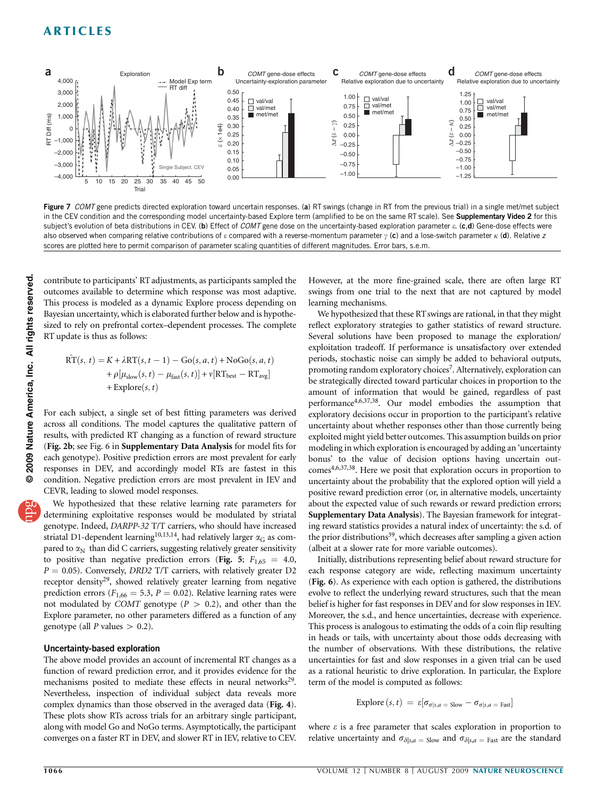

Figure 7 COMT gene predicts directed exploration toward uncertain responses. (a) RT swings (change in RT from the previous trial) in a single met/met subject in the CEV condition and the corresponding model uncertainty-based Explore term (amplified to be on the same RT scale). See Supplementary Video 2 for this subject's evolution of beta distributions in CEV. (b) Effect of COMT gene dose on the uncertainty-based exploration parameter  $\varepsilon$ . (c,d) Gene-dose effects were also observed when comparing relative contributions of  $\varepsilon$  compared with a reverse-momentum parameter  $\gamma$  (c) and a lose-switch parameter  $\kappa$  (d). Relative z scores are plotted here to permit comparison of parameter scaling quantities of different magnitudes. Error bars, s.e.m.

contribute to participants' RT adjustments, as participants sampled the outcomes available to determine which response was most adaptive. This process is modeled as a dynamic Explore process depending on Bayesian uncertainty, which is elaborated further below and is hypothesized to rely on prefrontal cortex–dependent processes. The complete RT update is thus as follows:

$$
\hat{\text{RT}}(s, t) = K + \lambda \text{RT}(s, t - 1) - \text{Go}(s, a, t) + \text{NoGo}(s, a, t) + \rho[\mu_{slow}(s, t) - \mu_{fast}(s, t)] + \nu[\text{RT}_{best} - \text{RT}_{avg}] + \text{Explore}(s, t)
$$

For each subject, a single set of best fitting parameters was derived across all conditions. The model captures the qualitative pattern of results, with predicted RT changing as a function of reward structure (Fig. 2b; see Fig. 6 in Supplementary Data Analysis for model fits for each genotype). Positive prediction errors are most prevalent for early responses in DEV, and accordingly model RTs are fastest in this condition. Negative prediction errors are most prevalent in IEV and CEVR, leading to slowed model responses.

We hypothesized that these relative learning rate parameters for determining exploitative responses would be modulated by striatal genotype. Indeed, DARPP-32 T/T carriers, who should have increased striatal D1-dependent learning<sup>10,13,14</sup>, had relatively larger  $\alpha$ <sub>G</sub> as compared to  $\alpha_N$  than did C carriers, suggesting relatively greater sensitivity to positive than negative prediction errors (Fig. 5;  $F_{1,65} = 4.0$ ,  $P = 0.05$ ). Conversely, *DRD2* T/T carriers, with relatively greater D2 receptor density<sup>29</sup>, showed relatively greater learning from negative prediction errors ( $F_{1,66} = 5.3$ ,  $P = 0.02$ ). Relative learning rates were not modulated by COMT genotype ( $P > 0.2$ ), and other than the Explore parameter, no other parameters differed as a function of any genotype (all  $P$  values  $> 0.2$ ).

### Uncertainty-based exploration

The above model provides an account of incremental RT changes as a function of reward prediction error, and it provides evidence for the mechanisms posited to mediate these effects in neural networks<sup>29</sup>. Nevertheless, inspection of individual subject data reveals more complex dynamics than those observed in the averaged data (Fig. 4). These plots show RTs across trials for an arbitrary single participant, along with model Go and NoGo terms. Asymptotically, the participant converges on a faster RT in DEV, and slower RT in IEV, relative to CEV.

However, at the more fine-grained scale, there are often large RT swings from one trial to the next that are not captured by model learning mechanisms.

We hypothesized that these RT swings are rational, in that they might reflect exploratory strategies to gather statistics of reward structure. Several solutions have been proposed to manage the exploration/ exploitation tradeoff. If performance is unsatisfactory over extended periods, stochastic noise can simply be added to behavioral outputs, promoting random exploratory choices<sup>7</sup>. Alternatively, exploration can be strategically directed toward particular choices in proportion to the amount of information that would be gained, regardless of past performance[4,6,37,38](#page-6-0). Our model embodies the assumption that exploratory decisions occur in proportion to the participant's relative uncertainty about whether responses other than those currently being exploited might yield better outcomes. This assumption builds on prior modeling in which exploration is encouraged by adding an 'uncertainty bonus' to the value of decision options having uncertain outcomes<sup>4,6,37,38</sup>. Here we posit that exploration occurs in proportion to uncertainty about the probability that the explored option will yield a positive reward prediction error (or, in alternative models, uncertainty about the expected value of such rewards or reward prediction errors; Supplementary Data Analysis). The Bayesian framework for integrating reward statistics provides a natural index of uncertainty: the s.d. of the prior distributions<sup>39</sup>, which decreases after sampling a given action (albeit at a slower rate for more variable outcomes).

Initially, distributions representing belief about reward structure for each response category are wide, reflecting maximum uncertainty (Fig. 6). As experience with each option is gathered, the distributions evolve to reflect the underlying reward structures, such that the mean belief is higher for fast responses in DEV and for slow responses in IEV. Moreover, the s.d., and hence uncertainties, decrease with experience. This process is analogous to estimating the odds of a coin flip resulting in heads or tails, with uncertainty about those odds decreasing with the number of observations. With these distributions, the relative uncertainties for fast and slow responses in a given trial can be used as a rational heuristic to drive exploration. In particular, the Explore term of the model is computed as follows:

**Explore** 
$$
(s, t) = \varepsilon[\sigma_{\sigma|s,a = \text{slow}} - \sigma_{\sigma|s,a = \text{Fast}}]
$$

where  $\varepsilon$  is a free parameter that scales exploration in proportion to relative uncertainty and  $\sigma_{\delta|s,a}$  = slow and  $\sigma_{\delta|s,a}$  = Fast are the standard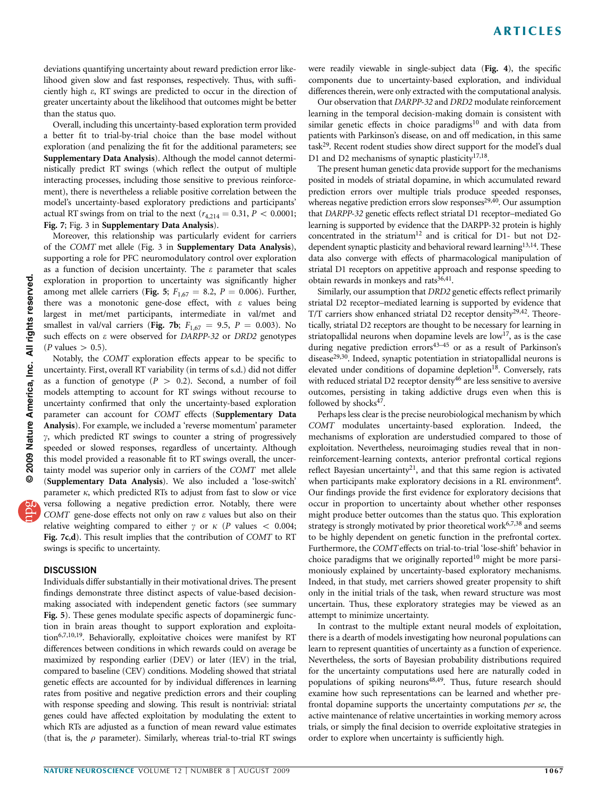deviations quantifying uncertainty about reward prediction error likelihood given slow and fast responses, respectively. Thus, with sufficiently high e, RT swings are predicted to occur in the direction of greater uncertainty about the likelihood that outcomes might be better than the status quo.

Overall, including this uncertainty-based exploration term provided a better fit to trial-by-trial choice than the base model without exploration (and penalizing the fit for the additional parameters; see Supplementary Data Analysis). Although the model cannot deterministically predict RT swings (which reflect the output of multiple interacting processes, including those sensitive to previous reinforcement), there is nevertheless a reliable positive correlation between the model's uncertainty-based exploratory predictions and participants' actual RT swings from on trial to the next ( $r_{4,214} = 0.31, P < 0.0001$ ; Fig. 7; Fig. 3 in Supplementary Data Analysis).

Moreover, this relationship was particularly evident for carriers of the COMT met allele (Fig. 3 in Supplementary Data Analysis), supporting a role for PFC neuromodulatory control over exploration as a function of decision uncertainty. The  $\varepsilon$  parameter that scales exploration in proportion to uncertainty was significantly higher among met allele carriers (Fig. 5;  $F_{1,67} = 8.2$ ,  $P = 0.006$ ). Further, there was a monotonic gene-dose effect, with  $\varepsilon$  values being largest in met/met participants, intermediate in val/met and smallest in val/val carriers (Fig. 7b;  $F_{1,67} = 9.5$ ,  $P = 0.003$ ). No such effects on  $\varepsilon$  were observed for DARPP-32 or DRD2 genotypes  $(P \text{ values} > 0.5).$ 

Notably, the COMT exploration effects appear to be specific to uncertainty. First, overall RT variability (in terms of s.d.) did not differ as a function of genotype ( $P > 0.2$ ). Second, a number of foil models attempting to account for RT swings without recourse to uncertainty confirmed that only the uncertainty-based exploration parameter can account for COMT effects (Supplementary Data Analysis). For example, we included a 'reverse momentum' parameter  $\gamma$ , which predicted RT swings to counter a string of progressively speeded or slowed responses, regardless of uncertainty. Although this model provided a reasonable fit to RT swings overall, the uncertainty model was superior only in carriers of the COMT met allele (Supplementary Data Analysis). We also included a 'lose-switch' parameter  $\kappa$ , which predicted RTs to adjust from fast to slow or vice versa following a negative prediction error. Notably, there were COMT gene-dose effects not only on raw  $\varepsilon$  values but also on their relative weighting compared to either  $\gamma$  or  $\kappa$  (P values < 0.004; Fig. 7c,d). This result implies that the contribution of COMT to RT swings is specific to uncertainty.

#### **DISCUSSION**

Individuals differ substantially in their motivational drives. The present findings demonstrate three distinct aspects of value-based decisionmaking associated with independent genetic factors (see summary Fig. 5). These genes modulate specific aspects of dopaminergic function in brain areas thought to support exploration and exploitation<sup>6,7,10,19</sup>. Behaviorally, exploitative choices were manifest by RT differences between conditions in which rewards could on average be maximized by responding earlier (DEV) or later (IEV) in the trial, compared to baseline (CEV) conditions. Modeling showed that striatal genetic effects are accounted for by individual differences in learning rates from positive and negative prediction errors and their coupling with response speeding and slowing. This result is nontrivial: striatal genes could have affected exploitation by modulating the extent to which RTs are adjusted as a function of mean reward value estimates (that is, the  $\rho$  parameter). Similarly, whereas trial-to-trial RT swings

were readily viewable in single-subject data (Fig. 4), the specific components due to uncertainty-based exploration, and individual differences therein, were only extracted with the computational analysis.

Our observation that DARPP-32 and DRD2 modulate reinforcement learning in the temporal decision-making domain is consistent with similar genetic effects in choice paradigms<sup>[10](#page-6-0)</sup> and with data from patients with Parkinson's disease, on and off medication, in this same task<sup>[29](#page-6-0)</sup>. Recent rodent studies show direct support for the model's dual D1 and D2 mechanisms of synaptic plasticity<sup>17,18</sup>.

The present human genetic data provide support for the mechanisms posited in models of striatal dopamine, in which accumulated reward prediction errors over multiple trials produce speeded responses, whereas negative prediction errors slow responses<sup>29,40</sup>. Our assumption that DARPP-32 genetic effects reflect striatal D1 receptor–mediated Go learning is supported by evidence that the DARPP-32 protein is highly concentrated in the striatum<sup>12</sup> and is critical for D1- but not D2dependent synaptic plasticity and behavioral reward learning<sup>13,14</sup>. These data also converge with effects of pharmacological manipulation of striatal D1 receptors on appetitive approach and response speeding to obtain rewards in monkeys and rats $36,41$ .

Similarly, our assumption that DRD2 genetic effects reflect primarily striatal D2 receptor–mediated learning is supported by evidence that T/T carriers show enhanced striatal D2 receptor density<sup>29,42</sup>. Theoretically, striatal D2 receptors are thought to be necessary for learning in striatopallidal neurons when dopamine levels are  $\text{low}^{17}$ , as is the case during negative prediction errors<sup>43–45</sup> or as a result of Parkinson's disease<sup>29,30</sup>. Indeed, synaptic potentiation in striatopallidal neurons is elevated under conditions of dopamine depletion<sup>[18](#page-6-0)</sup>. Conversely, rats with reduced striatal D2 receptor density $46$  are less sensitive to aversive outcomes, persisting in taking addictive drugs even when this is followed by shocks<sup>47</sup>.

Perhaps less clear is the precise neurobiological mechanism by which COMT modulates uncertainty-based exploration. Indeed, the mechanisms of exploration are understudied compared to those of exploitation. Nevertheless, neuroimaging studies reveal that in nonreinforcement-learning contexts, anterior prefrontal cortical regions reflect Bayesian uncertainty<sup>21</sup>, and that this same region is activated when participants make exploratory decisions in a RL environment<sup>6</sup>. Our findings provide the first evidence for exploratory decisions that occur in proportion to uncertainty about whether other responses might produce better outcomes than the status quo. This exploration strategy is strongly motivated by prior theoretical work<sup>[6,7,38](#page-6-0)</sup> and seems to be highly dependent on genetic function in the prefrontal cortex. Furthermore, the COMTeffects on trial-to-trial 'lose-shift' behavior in choice paradigms that we originally reported<sup>10</sup> might be more parsimoniously explained by uncertainty-based exploratory mechanisms. Indeed, in that study, met carriers showed greater propensity to shift only in the initial trials of the task, when reward structure was most uncertain. Thus, these exploratory strategies may be viewed as an attempt to minimize uncertainty.

In contrast to the multiple extant neural models of exploitation, there is a dearth of models investigating how neuronal populations can learn to represent quantities of uncertainty as a function of experience. Nevertheless, the sorts of Bayesian probability distributions required for the uncertainty computations used here are naturally coded in populations of spiking neurons<sup>48,49</sup>. Thus, future research should examine how such representations can be learned and whether prefrontal dopamine supports the uncertainty computations per se, the active maintenance of relative uncertainties in working memory across trials, or simply the final decision to override exploitative strategies in order to explore when uncertainty is sufficiently high.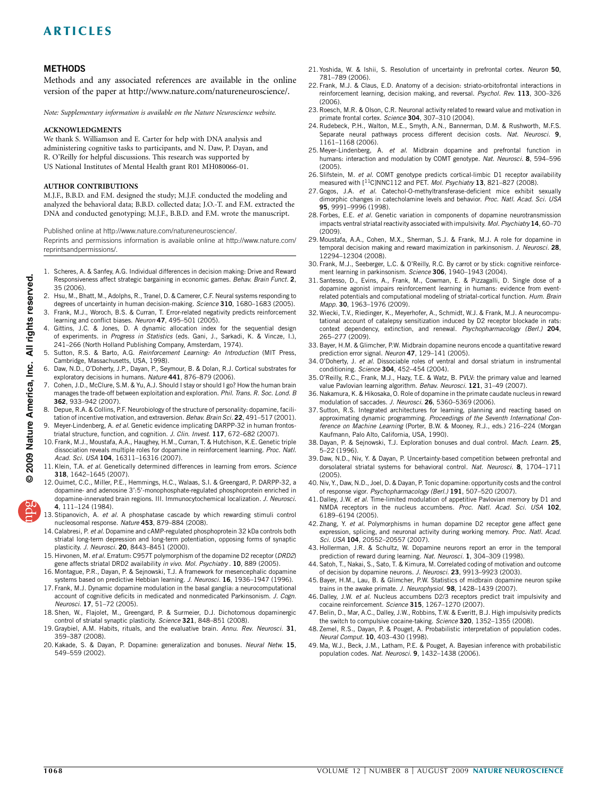## <span id="page-6-0"></span>**METHODS**

Methods and any associated references are available in the online version of the paper at<http://www.nature.com/natureneuroscience/>.

Note: Supplementary information is available on the [Nature Neuroscience](http://www.nature.com/natureneuroscience/) website.

#### ACKNOWLEDGMENTS

We thank S. Williamson and E. Carter for help with DNA analysis and administering cognitive tasks to participants, and N. Daw, P. Dayan, and R. O'Reilly for helpful discussions. This research was supported by US National Institutes of Mental Health grant R01 MH080066-01.

#### AUTHOR CONTRIBUTIONS

M.J.F., B.B.D. and F.M. designed the study; M.J.F. conducted the modeling and analyzed the behavioral data; B.B.D. collected data; J.O.-T. and F.M. extracted the DNA and conducted genotyping; M.J.F., B.B.D. and F.M. wrote the manuscript.

Published online at [http://www.nature.com/natureneuroscience/.](http://www.nature.com/natureneuroscience/)

Reprints and permissions information is available online at [http://www.nature.com/](http://npg.nature.com/reprintsandpermissions/) [reprintsandpermissions/.](http://npg.nature.com/reprintsandpermissions/)

- 1. Scheres, A. & Sanfey, A.G. Individual differences in decision making: Drive and Reward Responsiveness affect strategic bargaining in economic games. Behav. Brain Funct. 2, 35 (2006).
- 2. Hsu, M., Bhatt, M., Adolphs, R., Tranel, D. & Camerer, C.F. Neural systems responding to degrees of uncertainty in human decision-making. Science 310, 1680–1683 (2005).
- 3. Frank, M.J., Woroch, B.S. & Curran, T. Error-related negativity predicts reinforcement learning and conflict biases. Neuron 47, 495-501 (2005).
- 4. Gittins, J.C. & Jones, D. A dynamic allocation index for the sequential design of experiments. in Progress in Statistics (eds. Gani, J., Sarkadi, K. & Vincze, I.), 241–266 (North Holland Publishing Company, Amsterdam, 1974).
- Sutton, R.S. & Barto, A.G. Reinforcement Learning: An Introduction (MIT Press, Cambridge, Massachusetts, USA, 1998).
- Daw, N.D., O'Doherty, J.P., Dayan, P., Seymour, B. & Dolan, R.J. Cortical substrates for exploratory decisions in humans. Nature 441, 876–879 (2006).
- Cohen, J.D., McClure, S.M. & Yu, A.J. Should I stay or should I go? How the human brain manages the trade-off between exploitation and exploration. Phil. Trans. R. Soc. Lond. B 362, 933–942 (2007).
- 8. Depue, R.A. & Collins, P.F. Neurobiology of the structure of personality: dopamine, facilitation of incentive motivation, and extraversion. Behav. Brain Sci. 22, 491-517 (2001).
- 9. Meyer-Lindenberg, A. et al. Genetic evidence implicating DARPP-32 in human frontostriatal structure, function, and cognition. J. Clin. Invest. 117, 672–682 (2007).
- 10. Frank, M.J., Moustafa, A.A., Haughey, H.M., Curran, T. & Hutchison, K.E. Genetic triple dissociation reveals multiple roles for dopamine in reinforcement learning. Proc. Natl. Acad. Sci. USA 104, 16311-16316 (2007).
- 11. Klein, T.A. et al. Genetically determined differences in learning from errors. Science 318, 1642–1645 (2007).
- 12. Ouimet, C.C., Miller, P.E., Hemmings, H.C., Walaas, S.I. & Greengard, P. DARPP-32, a dopamine- and adenosine 3':5'-monophosphate-regulated phosphoprotein enriched in dopamine-innervated brain regions. III. Immunocytochemical localization. J. Neurosci. 4, 111–124 (1984).
- 13. Stipanovich, A. et al. A phosphatase cascade by which rewarding stimuli control nucleosomal response. Nature 453, 879–884 (2008).
- 14. Calabresi, P. et al. Dopamine and cAMP-regulated phosphoprotein 32 kDa controls both striatal long-term depression and long-term potentiation, opposing forms of synaptic plasticity. J. Neurosci. 20, 8443–8451 (2000).
- 15. Hirvonen, M. et al. Erratum: C957T polymorphism of the dopamine D2 receptor (DRD2) gene affects striatal DRD2 availability in vivo. Mol. Psychiatry . 10, 889 (2005).
- 16. Montague, P.R., Dayan, P. & Sejnowski, T.J. A framework for mesencephalic dopamine systems based on predictive Hebbian learning. J. Neurosci. 16, 1936-1947 (1996).
- 17. Frank, M.J. Dynamic dopamine modulation in the basal ganglia: a neurocomputational account of cognitive deficits in medicated and nonmedicated Parkinsonism. J. Cogn. Neurosci. 17, 51–72 (2005).
- 18. Shen, W., Flajolet, M., Greengard, P. & Surmeier, D.J. Dichotomous dopaminergic control of striatal synaptic plasticity. Science 321, 848-851 (2008).
- 19. Graybiel, A.M. Habits, rituals, and the evaluative brain. Annu. Rev. Neurosci. 31, 359–387 (2008).
- 20. Kakade, S. & Dayan, P. Dopamine: generalization and bonuses. Neural Netw. 15, 549–559 (2002).
- 21. Yoshida, W. & Ishii, S. Resolution of uncertainty in prefrontal cortex. Neuron 50, 781–789 (2006).
- 22. Frank, M.J. & Claus, E.D. Anatomy of a decision: striato-orbitofrontal interactions in reinforcement learning, decision making, and reversal. Psychol. Rev. 113, 300–326 (2006).
- 23. Roesch, M.R. & Olson, C.R. Neuronal activity related to reward value and motivation in primate frontal cortex. Science 304, 307-310 (2004).
- 24. Rudebeck, P.H., Walton, M.E., Smyth, A.N., Bannerman, D.M. & Rushworth, M.F.S. Separate neural pathways process different decision costs. Nat. Neurosci. 9, 1161–1168 (2006).
- 25. Meyer-Lindenberg, A. et al. Midbrain dopamine and prefrontal function in humans: interaction and modulation by COMT genotype. Nat. Neurosci. 8, 594-596 (2005).
- 26. Slifstein, M. et al. COMT genotype predicts cortical-limbic D1 receptor availability measured with [<sup>11</sup>C]NNC112 and PET. Mol. Psychiatry 13, 821-827 (2008).
- 27. Gogos, J.A. et al. Catechol-O-methyltransferase-deficient mice exhibit sexually dimorphic changes in catecholamine levels and behavior. Proc. Natl. Acad. Sci. USA 95, 9991–9996 (1998).
- 28. Forbes, E.E. et al. Genetic variation in components of dopamine neurotransmission impacts ventral striatal reactivity associated with impulsivity. Mol. Psychiatry 14, 60–70 (2009).
- 29. Moustafa, A.A., Cohen, M.X., Sherman, S.J. & Frank, M.J. A role for dopamine in temporal decision making and reward maximization in parkinsonism. J. Neurosci. 28, 12294–12304 (2008).
- 30. Frank, M.J., Seeberger, L.C. & O'Reilly, R.C. By carrot or by stick: cognitive reinforcement learning in parkinsonism. Science 306, 1940–1943 (2004).
- 31. Santesso, D., Evins, A., Frank, M., Cowman, E. & Pizzagalli, D. Single dose of a dopamine agonist impairs reinforcement learning in humans: evidence from eventrelated potentials and computational modeling of striatal-cortical function. Hum. Brain Mapp. 30, 1963–1976 (2009).
- 32. Wiecki, T.V., Riedinger, K., Meyerhofer, A., Schmidt, W.J. & Frank, M.J. A neurocomputational account of catalepsy sensitization induced by D2 receptor blockade in rats: context dependency, extinction, and renewal. Psychopharmacology (Berl.) 204, 265–277 (2009).
- 33. Bayer, H.M. & Glimcher, P.W. Midbrain dopamine neurons encode a quantitative reward prediction error signal. Neuron 47, 129-141 (2005).
- 34. O'Doherty, J. et al. Dissociable roles of ventral and dorsal striatum in instrumental conditioning. Science 304, 452–454 (2004).
- 35. O'Reilly, R.C., Frank, M.J., Hazy, T.E. & Watz, B. PVLV: the primary value and learned value Pavlovian learning algorithm. Behav. Neurosci. 121, 31–49 (2007).
- 36. Nakamura, K. & Hikosaka, O. Role of dopamine in the primate caudate nucleus in reward modulation of saccades. J. Neurosci. 26, 5360–5369 (2006).
- 37. Sutton, R.S. Integrated architectures for learning, planning and reacting based on approximating dynamic programming. Proceedings of the Seventh International Conference on Machine Learning (Porter, B.W. & Mooney, R.J., eds.) 216–224 (Morgan Kaufmann, Palo Alto, California, USA, 1990).
- 38. Dayan, P. & Sejnowski, T.J. Exploration bonuses and dual control. Mach. Learn. 25, 5–22 (1996).
- 39. Daw, N.D., Niv, Y. & Dayan, P. Uncertainty-based competition between prefrontal and dorsolateral striatal systems for behavioral control. Nat. Neurosci. 8, 1704-1711 (2005).
- 40. Niv, Y., Daw, N.D., Joel, D. & Dayan, P. Tonic dopamine: opportunity costs and the control of response vigor. Psychopharmacology (Berl.) 191, 507–520 (2007).
- 41. Dalley, J.W. et al. Time-limited modulation of appetitive Pavlovian memory by D1 and NMDA receptors in the nucleus accumbens. Proc. Natl. Acad. Sci. USA 102, 6189–6194 (2005).
- 42. Zhang, Y. et al. Polymorphisms in human dopamine D2 receptor gene affect gene expression, splicing, and neuronal activity during working memory. Proc. Natl. Acad. Sci. USA 104, 20552–20557 (2007).
- 43. Hollerman, J.R. & Schultz, W. Dopamine neurons report an error in the temporal prediction of reward during learning. Nat. Neurosci. 1, 304–309 (1998).
- 44. Satoh, T., Nakai, S., Sato, T. & Kimura, M. Correlated coding of motivation and outcome of decision by dopamine neurons. J. Neurosci. 23, 9913-9923 (2003).
- 45. Bayer, H.M., Lau, B. & Glimcher, P.W. Statistics of midbrain dopamine neuron spike trains in the awake primate. J. Neurophysiol. 98, 1428-1439 (2007).
- 46. Dalley, J.W. et al. Nucleus accumbens D2/3 receptors predict trait impulsivity and cocaine reinforcement. Science 315, 1267–1270 (2007).
- 47. Belin, D., Mar, A.C., Dalley, J.W., Robbins, T.W. & Everitt, B.J. High impulsivity predicts the switch to compulsive cocaine-taking. Science 320, 1352-1355 (2008).
- 48. Zemel, R.S., Dayan, P. & Pouget, A. Probabilistic interpretation of population codes. Neural Comput. 10, 403–430 (1998).
- 49. Ma, W.J., Beck, J.M., Latham, P.E. & Pouget, A. Bayesian inference with probabilistic population codes. Nat. Neurosci. 9, 1432-1438 (2006).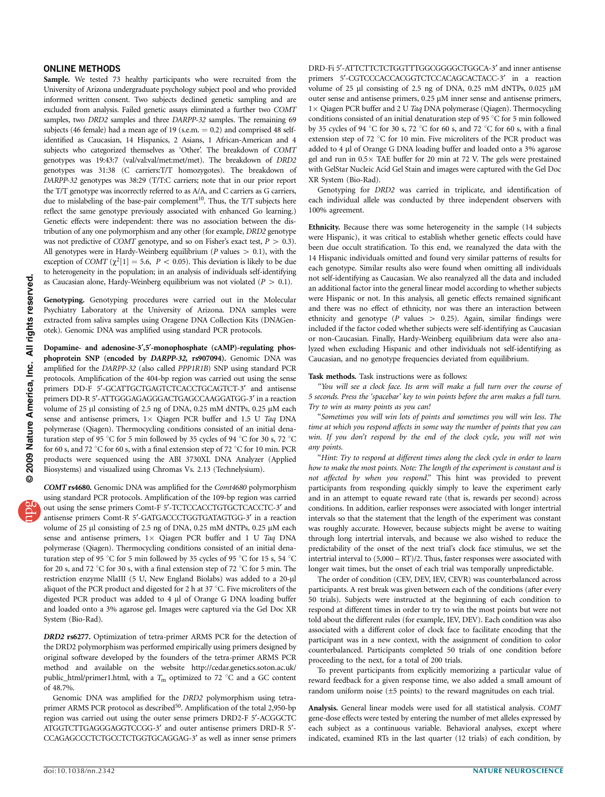#### ONLINE METHODS

Sample. We tested 73 healthy participants who were recruited from the University of Arizona undergraduate psychology subject pool and who provided informed written consent. Two subjects declined genetic sampling and are excluded from analysis. Failed genetic assays eliminated a further two COMT samples, two DRD2 samples and three DARPP-32 samples. The remaining 69 subjects (46 female) had a mean age of 19 (s.e.m.  $= 0.2$ ) and comprised 48 selfidentified as Caucasian, 14 Hispanics, 2 Asians, 1 African-American and 4 subjects who categorized themselves as 'Other'. The breakdown of COMT genotypes was 19:43:7 (val/val:val/met:met/met). The breakdown of DRD2 genotypes was 31:38 (C carriers:T/T homozygotes). The breakdown of DARPP-32 genotypes was 38:29 (T/T:C carriers; note that in our prior report the T/T genotype was incorrectly referred to as A/A, and C carriers as G carriers, due to mislabeling of the base-pair complement<sup>[10](#page-6-0)</sup>. Thus, the T/T subjects here reflect the same genotype previously associated with enhanced Go learning.) Genetic effects were independent: there was no association between the distribution of any one polymorphism and any other (for example, DRD2 genotype was not predictive of COMT genotype, and so on Fisher's exact test,  $P > 0.3$ ). All genotypes were in Hardy-Weinberg equilibrium ( $P$  values  $> 0.1$ ), with the exception of COMT  $(\chi^2[1] = 5.6, P < 0.05)$ . This deviation is likely to be due to heterogeneity in the population; in an analysis of individuals self-identifying as Caucasian alone, Hardy-Weinberg equilibrium was not violated ( $P > 0.1$ ).

Genotyping. Genotyping procedures were carried out in the Molecular Psychiatry Laboratory at the University of Arizona. DNA samples were extracted from saliva samples using Oragene DNA Collection Kits (DNAGenotek). Genomic DNA was amplified using standard PCR protocols.

Dopamine- and adenosine-3',5'-monophosphate (cAMP)-regulating phosphoprotein SNP (encoded by DARPP-32, rs907094). Genomic DNA was amplified for the DARPP-32 (also called PPP1R1B) SNP using standard PCR protocols. Amplification of the 404-bp region was carried out using the sense primers DD-F 5'-GCATTGCTGAGTCTCACCTGCAGTCT-3' and antisense primers DD-R 5'-ATTGGGAGAGGGACTGAGCCAAGGATGG-3' in a reaction volume of 25 µl consisting of 2.5 ng of DNA, 0.25 mM dNTPs, 0.25 µM each sense and antisense primers,  $1 \times$  Qiagen PCR buffer and 1.5 U Taq DNA polymerase (Qiagen). Thermocycling conditions consisted of an initial denaturation step of 95 °C for 5 min followed by 35 cycles of 94 °C for 30 s, 72 °C for 60 s, and 72  $\degree$ C for 60 s, with a final extension step of 72  $\degree$ C for 10 min. PCR products were sequenced using the ABI 3730XL DNA Analyzer (Applied Biosystems) and visualized using Chromas Vs. 2.13 (Technelysium).

COMT rs4680. Genomic DNA was amplified for the Comt4680 polymorphism using standard PCR protocols. Amplification of the 109-bp region was carried out using the sense primers Comt-F 5'-TCTCCACCTGTGCTCACCTC-3' and antisense primers Comt-R 5'-GATGACCCTGGTGATAGTGG-3' in a reaction volume of 25 µl consisting of 2.5 ng of DNA, 0.25 mM dNTPs, 0.25 µM each sense and antisense primers,  $1 \times$  Qiagen PCR buffer and  $1$  U Taq DNA polymerase (Qiagen). Thermocycling conditions consisted of an initial denaturation step of 95 °C for 5 min followed by 35 cycles of 95 °C for 15 s, 54 °C for 20 s, and 72  $\degree$ C for 30 s, with a final extension step of 72  $\degree$ C for 5 min. The restriction enzyme NlaIII (5 U, New England Biolabs) was added to a 20-µl aliquot of the PCR product and digested for 2 h at 37  $^{\circ}$ C. Five microliters of the digested PCR product was added to 4 µl of Orange G DNA loading buffer and loaded onto a 3% agarose gel. Images were captured via the Gel Doc XR System (Bio-Rad).

DRD2 rs6277. Optimization of tetra-primer ARMS PCR for the detection of the DRD2 polymorphism was performed empirically using primers designed by original software developed by the founders of the tetra-primer ARMS PCR method and available on the website [http://cedar.genetics.soton.ac.uk/](http://cedar.genetics.soton.ac.uk/public_html/primer1.html) [public\\_html/primer1.html,](http://cedar.genetics.soton.ac.uk/public_html/primer1.html) with a  $T_m$  optimized to 72 °C and a GC content of 48.7%.

Genomic DNA was amplified for the DRD2 polymorphism using tetraprimer ARMS PCR protocol as described<sup>50</sup>. Amplification of the total 2,950-bp region was carried out using the outer sense primers DRD2-F 5'-ACGGCTC ATGGTCTTGAGGGAGGTCCGG-3¢ and outer antisense primers DRD-R 5¢- CCAGAGCCCTCTGCCTCTGGTGCAGGAG-3¢ as well as inner sense primers

DRD-Fi 5'-ATTCTTCTCTGGTTTGGCGGGGCTGGCA-3' and inner antisense primers 5'-CGTCCCACCACGGTCTCCACAGCACTACC-3' in a reaction volume of 25 µl consisting of 2.5 ng of DNA, 0.25 mM dNTPs, 0.025 µM outer sense and antisense primers,  $0.25 \mu M$  inner sense and antisense primers, 1 × Qiagen PCR buffer and 2 U Taq DNA polymerase (Qiagen). Thermocycling conditions consisted of an initial denaturation step of 95  $\degree$ C for 5 min followed by 35 cycles of 94 °C for 30 s, 72 °C for 60 s, and 72 °C for 60 s, with a final extension step of 72  $\degree$ C for 10 min. Five microliters of the PCR product was added to 4 µl of Orange G DNA loading buffer and loaded onto a 3% agarose gel and run in  $0.5\times$  TAE buffer for 20 min at 72 V. The gels were prestained with GelStar Nucleic Acid Gel Stain and images were captured with the Gel Doc XR System (Bio-Rad).

Genotyping for DRD2 was carried in triplicate, and identification of each individual allele was conducted by three independent observers with 100% agreement.

Ethnicity. Because there was some heterogeneity in the sample (14 subjects were Hispanic), it was critical to establish whether genetic effects could have been due occult stratification. To this end, we reanalyzed the data with the 14 Hispanic individuals omitted and found very similar patterns of results for each genotype. Similar results also were found when omitting all individuals not self-identifying as Caucasian. We also reanalyzed all the data and included an additional factor into the general linear model according to whether subjects were Hispanic or not. In this analysis, all genetic effects remained significant and there was no effect of ethnicity, nor was there an interaction between ethnicity and genotype ( $P$  values  $> 0.25$ ). Again, similar findings were included if the factor coded whether subjects were self-identifying as Caucasian or non-Caucasian. Finally, Hardy-Weinberg equilibrium data were also analyzed when excluding Hispanic and other individuals not self-identifying as Caucasian, and no genotype frequencies deviated from equilibrium.

#### Task methods. Task instructions were as follows:

''You will see a clock face. Its arm will make a full turn over the course of 5 seconds. Press the 'spacebar' key to win points before the arm makes a full turn. Try to win as many points as you can!

''Sometimes you will win lots of points and sometimes you will win less. The time at which you respond affects in some way the number of points that you can win. If you don't respond by the end of the clock cycle, you will not win any points.

''Hint: Try to respond at different times along the clock cycle in order to learn how to make the most points. Note: The length of the experiment is constant and is not affected by when you respond.'' This hint was provided to prevent participants from responding quickly simply to leave the experiment early and in an attempt to equate reward rate (that is, rewards per second) across conditions. In addition, earlier responses were associated with longer intertrial intervals so that the statement that the length of the experiment was constant was roughly accurate. However, because subjects might be averse to waiting through long intertrial intervals, and because we also wished to reduce the predictability of the onset of the next trial's clock face stimulus, we set the intertrial interval to (5,000 – RT)/2. Thus, faster responses were associated with longer wait times, but the onset of each trial was temporally unpredictable.

The order of condition (CEV, DEV, IEV, CEVR) was counterbalanced across participants. A rest break was given between each of the conditions (after every 50 trials). Subjects were instructed at the beginning of each condition to respond at different times in order to try to win the most points but were not told about the different rules (for example, IEV, DEV). Each condition was also associated with a different color of clock face to facilitate encoding that the participant was in a new context, with the assignment of condition to color counterbalanced. Participants completed 50 trials of one condition before proceeding to the next, for a total of 200 trials.

To prevent participants from explicitly memorizing a particular value of reward feedback for a given response time, we also added a small amount of random uniform noise (±5 points) to the reward magnitudes on each trial.

Analysis. General linear models were used for all statistical analysis. COMT gene-dose effects were tested by entering the number of met alleles expressed by each subject as a continuous variable. Behavioral analyses, except where indicated, examined RTs in the last quarter (12 trials) of each condition, by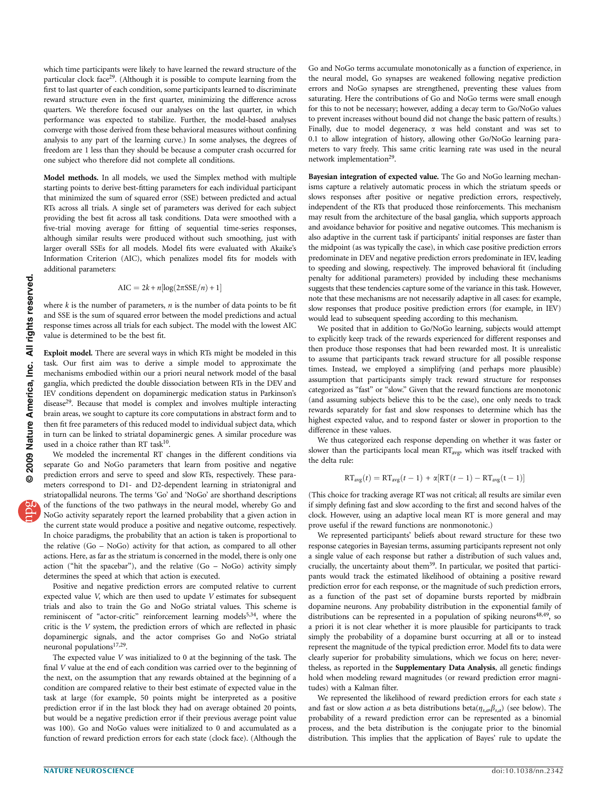which time participants were likely to have learned the reward structure of the particular clock face<sup>29</sup>. (Although it is possible to compute learning from the first to last quarter of each condition, some participants learned to discriminate reward structure even in the first quarter, minimizing the difference across quarters. We therefore focused our analyses on the last quarter, in which performance was expected to stabilize. Further, the model-based analyses converge with those derived from these behavioral measures without confining analysis to any part of the learning curve.) In some analyses, the degrees of freedom are 1 less than they should be because a computer crash occurred for one subject who therefore did not complete all conditions.

Model methods. In all models, we used the Simplex method with multiple starting points to derive best-fitting parameters for each individual participant that minimized the sum of squared error (SSE) between predicted and actual RTs across all trials. A single set of parameters was derived for each subject providing the best fit across all task conditions. Data were smoothed with a five-trial moving average for fitting of sequential time-series responses, although similar results were produced without such smoothing, just with larger overall SSEs for all models. Model fits were evaluated with Akaike's Information Criterion (AIC), which penalizes model fits for models with additional parameters:

$$
AIC = 2k + n[\log(2\pi SSE/n) + 1]
$$

where  $k$  is the number of parameters,  $n$  is the number of data points to be fit and SSE is the sum of squared error between the model predictions and actual response times across all trials for each subject. The model with the lowest AIC value is determined to be the best fit.

Exploit model. There are several ways in which RTs might be modeled in this task. Our first aim was to derive a simple model to approximate the mechanisms embodied within our a priori neural network model of the basal ganglia, which predicted the double dissociation between RTs in the DEV and IEV conditions dependent on dopaminergic medication status in Parkinson's disease<sup>29</sup>. Because that model is complex and involves multiple interacting brain areas, we sought to capture its core computations in abstract form and to then fit free parameters of this reduced model to individual subject data, which in turn can be linked to striatal dopaminergic genes. A similar procedure was used in a choice rather than RT task<sup>10</sup>.

We modeled the incremental RT changes in the different conditions via separate Go and NoGo parameters that learn from positive and negative prediction errors and serve to speed and slow RTs, respectively. These parameters correspond to D1- and D2-dependent learning in striatonigral and striatopallidal neurons. The terms 'Go' and 'NoGo' are shorthand descriptions of the functions of the two pathways in the neural model, whereby Go and NoGo activity separately report the learned probability that a given action in the current state would produce a positive and negative outcome, respectively. In choice paradigms, the probability that an action is taken is proportional to the relative (Go – NoGo) activity for that action, as compared to all other actions. Here, as far as the striatum is concerned in the model, there is only one action ("hit the spacebar"), and the relative  $(Go - NoGo)$  activity simply determines the speed at which that action is executed.

Positive and negative prediction errors are computed relative to current expected value V, which are then used to update V estimates for subsequent trials and also to train the Go and NoGo striatal values. This scheme is reminiscent of "actor-critic" reinforcement learning models<sup>[5,34](#page-6-0)</sup>, where the critic is the V system, the prediction errors of which are reflected in phasic dopaminergic signals, and the actor comprises Go and NoGo striatal neuronal populations<sup>[17,29](#page-6-0)</sup>.

The expected value V was initialized to 0 at the beginning of the task. The final V value at the end of each condition was carried over to the beginning of the next, on the assumption that any rewards obtained at the beginning of a condition are compared relative to their best estimate of expected value in the task at large (for example, 50 points might be interpreted as a positive prediction error if in the last block they had on average obtained 20 points, but would be a negative prediction error if their previous average point value was 100). Go and NoGo values were initialized to 0 and accumulated as a function of reward prediction errors for each state (clock face). (Although the

Go and NoGo terms accumulate monotonically as a function of experience, in the neural model, Go synapses are weakened following negative prediction errors and NoGo synapses are strengthened, preventing these values from saturating. Here the contributions of Go and NoGo terms were small enough for this to not be necessary; however, adding a decay term to Go/NoGo values to prevent increases without bound did not change the basic pattern of results.) Finally, due to model degeneracy,  $\alpha$  was held constant and was set to 0.1 to allow integration of history, allowing other Go/NoGo learning parameters to vary freely. This same critic learning rate was used in the neural network implementation<sup>[29](#page-6-0)</sup>.

Bayesian integration of expected value. The Go and NoGo learning mechanisms capture a relatively automatic process in which the striatum speeds or slows responses after positive or negative prediction errors, respectively, independent of the RTs that produced those reinforcements. This mechanism may result from the architecture of the basal ganglia, which supports approach and avoidance behavior for positive and negative outcomes. This mechanism is also adaptive in the current task if participants' initial responses are faster than the midpoint (as was typically the case), in which case positive prediction errors predominate in DEV and negative prediction errors predominate in IEV, leading to speeding and slowing, respectively. The improved behavioral fit (including penalty for additional parameters) provided by including these mechanisms suggests that these tendencies capture some of the variance in this task. However, note that these mechanisms are not necessarily adaptive in all cases: for example, slow responses that produce positive prediction errors (for example, in IEV) would lead to subsequent speeding according to this mechanism.

We posited that in addition to Go/NoGo learning, subjects would attempt to explicitly keep track of the rewards experienced for different responses and then produce those responses that had been rewarded most. It is unrealistic to assume that participants track reward structure for all possible response times. Instead, we employed a simplifying (and perhaps more plausible) assumption that participants simply track reward structure for responses categorized as ''fast'' or ''slow.'' Given that the reward functions are monotonic (and assuming subjects believe this to be the case), one only needs to track rewards separately for fast and slow responses to determine which has the highest expected value, and to respond faster or slower in proportion to the difference in these values.

We thus categorized each response depending on whether it was faster or slower than the participants local mean  $RT_{avg}$ , which was itself tracked with the delta rule:

$$
RT_{avg}(t) = RT_{avg}(t-1) + \alpha [RT(t-1) - RT_{avg}(t-1)]
$$

(This choice for tracking average RT was not critical; all results are similar even if simply defining fast and slow according to the first and second halves of the clock. However, using an adaptive local mean RT is more general and may prove useful if the reward functions are nonmonotonic.)

We represented participants' beliefs about reward structure for these two response categories in Bayesian terms, assuming participants represent not only a single value of each response but rather a distribution of such values and, crucially, the uncertainty about them<sup>39</sup>. In particular, we posited that participants would track the estimated likelihood of obtaining a positive reward prediction error for each response, or the magnitude of such prediction errors, as a function of the past set of dopamine bursts reported by midbrain dopamine neurons. Any probability distribution in the exponential family of distributions can be represented in a population of spiking neurons<sup>48,49</sup>, so a priori it is not clear whether it is more plausible for participants to track simply the probability of a dopamine burst occurring at all or to instead represent the magnitude of the typical prediction error. Model fits to data were clearly superior for probability simulations, which we focus on here; nevertheless, as reported in the Supplementary Data Analysis, all genetic findings hold when modeling reward magnitudes (or reward prediction error magnitudes) with a Kalman filter.

We represented the likelihood of reward prediction errors for each state s and fast or slow action a as beta distributions beta( $\eta_{s,a},\beta_{s,a}$ ) (see below). The probability of a reward prediction error can be represented as a binomial process, and the beta distribution is the conjugate prior to the binomial distribution. This implies that the application of Bayes' rule to update the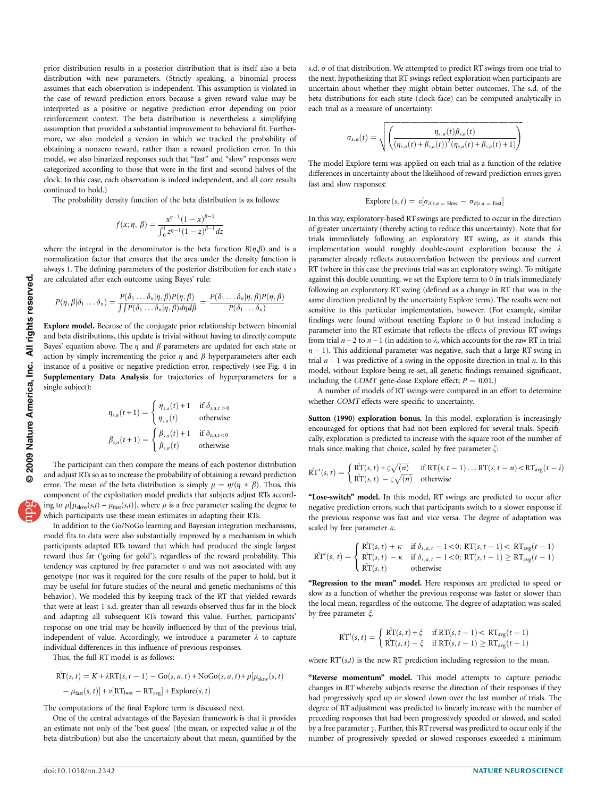prior distribution results in a posterior distribution that is itself also a beta distribution with new parameters. (Strictly speaking, a binomial process assumes that each observation is independent. This assumption is violated in the case of reward prediction errors because a given reward value may be interpreted as a positive or negative prediction error depending on prior reinforcement context. The beta distribution is nevertheless a simplifying assumption that provided a substantial improvement to behavioral fit. Furthermore, we also modeled a version in which we tracked the probability of obtaining a nonzero reward, rather than a reward prediction error. In this model, we also binarized responses such that ''fast'' and ''slow'' responses were categorized according to those that were in the first and second halves of the clock. In this case, each observation is indeed independent, and all core results continued to hold.)

The probability density function of the beta distribution is as follows:

$$
f(x; \eta, \beta) = \frac{x^{\eta - 1} (1 - x)^{\beta - 1}}{\int_0^1 z^{\eta - 1} (1 - z)^{\beta - 1} dz}
$$

where the integral in the denominator is the beta function  $B(\eta,\beta)$  and is a normalization factor that ensures that the area under the density function is always 1. The defining parameters of the posterior distribution for each state s are calculated after each outcome using Bayes' rule:

$$
P(\eta, \beta | \delta_1 \dots \delta_n) = \frac{P(\delta_1 \dots \delta_n | \eta, \beta) P(\eta, \beta)}{\int \int P(\delta_1 \dots \delta_n | \eta, \beta) d\eta d\beta} = \frac{P(\delta_1 \dots \delta_n | \eta, \beta) P(\eta, \beta)}{P(\delta_1 \dots \delta_n)}
$$

Explore model. Because of the conjugate prior relationship between binomial and beta distributions, this update is trivial without having to directly compute Bayes' equation above. The  $\eta$  and  $\beta$  parameters are updated for each state or action by simply incrementing the prior  $\eta$  and  $\beta$  hyperparameters after each instance of a positive or negative prediction error, respectively (see Fig. 4 in Supplementary Data Analysis for trajectories of hyperparameters for a single subject):

$$
\eta_{s,a}(t+1) = \begin{cases} \eta_{s,a}(t) + 1 & \text{if } \delta_{s,a,t>0} \\ \eta_{s,a}(t) & \text{otherwise} \end{cases}
$$

$$
\beta_{s,a}(t+1) = \begin{cases} \beta_{s,a}(t) + 1 & \text{if } \delta_{s,a,t<0} \\ \beta_{s,a}(t) & \text{otherwise} \end{cases}
$$

The participant can then compare the means of each posterior distribution and adjust RTs so as to increase the probability of obtaining a reward prediction error. The mean of the beta distribution is simply  $\mu = \eta/(\eta + \beta)$ . Thus, this component of the exploitation model predicts that subjects adjust RTs according to  $\rho[\mu_{slow}(s,t) - \mu_{fast}(s,t)]$ , where  $\rho$  is a free parameter scaling the degree to which participants use these mean estimates in adapting their RTs.

In addition to the Go/NoGo learning and Bayesian integration mechanisms, model fits to data were also substantially improved by a mechanism in which participants adapted RTs toward that which had produced the single largest reward thus far ('going for gold'), regardless of the reward probability. This tendency was captured by free parameter  $v$  and was not associated with any genotype (nor was it required for the core results of the paper to hold, but it may be useful for future studies of the neural and genetic mechanisms of this behavior). We modeled this by keeping track of the RT that yielded rewards that were at least 1 s.d. greater than all rewards observed thus far in the block and adapting all subsequent RTs toward this value. Further, participants' response on one trial may be heavily influenced by that of the previous trial, independent of value. Accordingly, we introduce a parameter  $\lambda$  to capture individual differences in this influence of previous responses.

Thus, the full RT model is as follows:

$$
\hat{\text{RT}}(s, t) = K + \lambda \text{RT}(s, t - 1) - \text{Go}(s, a, t) + \text{NoGo}(s, a, t) + \rho[\mu_{\text{slow}}(s, t) - \mu_{\text{fast}}(s, t)] + \nu[\text{RT}_{\text{best}} - \text{RT}_{\text{avg}}] + \text{Explore}(s, t)
$$

The computations of the final Explore term is discussed next.

One of the central advantages of the Bayesian framework is that it provides an estimate not only of the 'best guess' (the mean, or expected value  $\mu$  of the beta distribution) but also the uncertainty about that mean, quantified by the

s.d.  $\sigma$  of that distribution. We attempted to predict RT swings from one trial to the next, hypothesizing that RT swings reflect exploration when participants are uncertain about whether they might obtain better outcomes. The s.d. of the beta distributions for each state (clock-face) can be computed analytically in each trial as a measure of uncertainty:

$$
\sigma_{s,a}(t) = \sqrt{\left( \frac{\eta_{s,a}(t)\beta_{s,a}(t)}{(\eta_{s,a}(t) + \beta_{s,a}(t))^2(\eta_{s,a}(t) + \beta_{s,a}(t) + 1)} \right)}
$$

The model Explore term was applied on each trial as a function of the relative differences in uncertainty about the likelihood of reward prediction errors given fast and slow responses:

$$
\text{Explore}(s, t) = \varepsilon[\sigma_{\delta|s, a = \text{slow}} - \sigma_{\delta|s, a = \text{Fast}}]
$$

In this way, exploratory-based RT swings are predicted to occur in the direction of greater uncertainty (thereby acting to reduce this uncertainty). Note that for trials immediately following an exploratory RT swing, as it stands this implementation would roughly double-count exploration because the  $\lambda$ parameter already reflects autocorrelation between the previous and current RT (where in this case the previous trial was an exploratory swing). To mitigate against this double counting, we set the Explore term to 0 in trials immediately following an exploratory RT swing (defined as a change in RT that was in the same direction predicted by the uncertainty Explore term). The results were not sensitive to this particular implementation, however. (For example, similar findings were found without resetting Explore to 0 but instead including a parameter into the RT estimate that reflects the effects of previous RT swings from trial  $n - 2$  to  $n - 1$  (in addition to  $\lambda$ , which accounts for the raw RT in trial  $n - 1$ ). This additional parameter was negative, such that a large RT swing in trial  $n - 1$  was predictive of a swing in the opposite direction in trial n. In this model, without Explore being re-set, all genetic findings remained significant, including the COMT gene-dose Explore effect;  $P = 0.01$ .)

A number of models of RT swings were compared in an effort to determine whether COMT effects were specific to uncertainty.

Sutton (1990) exploration bonus. In this model, exploration is increasingly encouraged for options that had not been explored for several trials. Specifically, exploration is predicted to increase with the square root of the number of trials since making that choice, scaled by free parameter  $\zeta$ :

$$
\hat{\mathrm{RT}}'(s,t) = \begin{cases} \hat{\mathrm{RT}}(s,t) + \varsigma \sqrt{(n)} & \text{if } \mathrm{RT}(s,t-1) \dots \mathrm{RT}(s,t-n) < \mathrm{RT}_{\mathrm{avg}}(t-i) \\ \hat{\mathrm{RT}}(s,t) - \varsigma \sqrt{(n)} & \text{otherwise} \end{cases}
$$

"Lose-switch" model. In this model, RT swings are predicted to occur after negative prediction errors, such that participants switch to a slower response if the previous response was fast and vice versa. The degree of adaptation was scaled by free parameter  $\kappa$ .

$$
\hat{\mathrm{RT}}'(s, t) = \begin{cases}\n\hat{\mathrm{RT}}(s, t) + \kappa & \text{if } \delta_{s, a, t} - 1 < 0; \, \mathrm{RT}(s, t - 1) < \, \mathrm{RT}_{\mathrm{avg}}(t - 1) \\
\hat{\mathrm{RT}}(s, t) - \kappa & \text{if } \delta_{s, a, t} - 1 < 0; \, \mathrm{RT}(s, t - 1) \geq \mathrm{RT}_{\mathrm{avg}}(t - 1) \\
\hat{\mathrm{RT}}(s, t) & \text{otherwise}\n\end{cases}
$$

"Regression to the mean" model. Here responses are predicted to speed or slow as a function of whether the previous response was faster or slower than the local mean, regardless of the outcome. The degree of adaptation was scaled by free parameter  $\xi$ .

$$
\hat{\mathrm{RT}}'(s,t) = \begin{cases} \hat{\mathrm{RT}}(s,t) + \xi & \text{if } \mathrm{RT}(s,t-1) < \mathrm{RT}_{\mathrm{avg}}(t-1) \\ \hat{\mathrm{RT}}(s,t) - \xi & \text{if } \mathrm{RT}(s,t-1) \geq \mathrm{RT}_{\mathrm{avg}}(t-1) \end{cases}
$$

where  $RT'(s,t)$  is the new RT prediction including regression to the mean.

"Reverse momentum" model. This model attempts to capture periodic changes in RT whereby subjects reverse the direction of their responses if they had progressively sped up or slowed down over the last number of trials. The degree of RT adjustment was predicted to linearly increase with the number of preceding responses that had been progressively speeded or slowed, and scaled by a free parameter y. Further, this RT reversal was predicted to occur only if the number of progressively speeded or slowed responses exceeded a minimum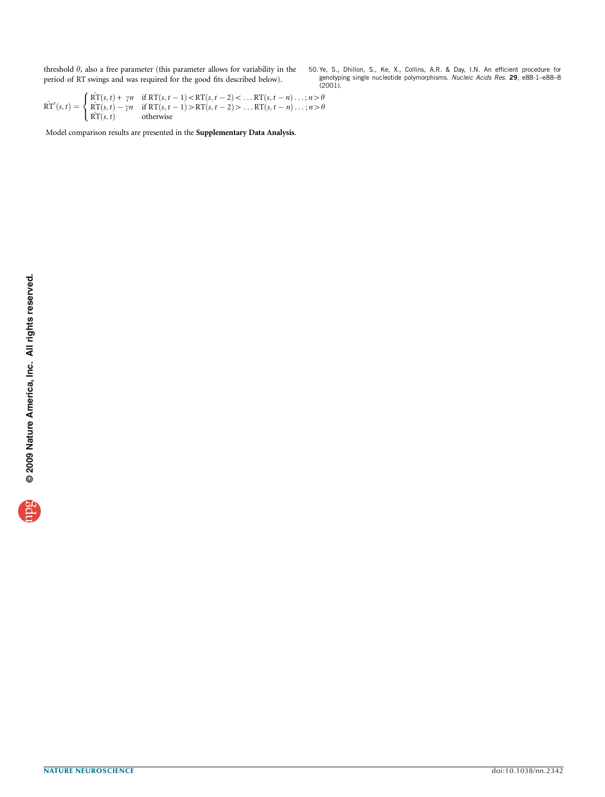<span id="page-10-0"></span>threshold  $\theta$ , also a free parameter (this parameter allows for variability in the period of RT swings and was required for the good fits described below).

50. Ye, S., Dhillon, S., Ke, X., Collins, A.R. & Day, I.N. An efficient procedure for genotyping single nucleotide polymorphisms. *Nucleic Acids Res.* **29**, e88-1–e88–8<br>(2001).

$$
\hat{\mathrm{RT}}'(s,t) = \begin{cases}\n\hat{\mathrm{RT}}(s,t) + \gamma n & \text{if } \mathrm{RT}(s,t-1) < \mathrm{RT}(s,t-2) < \dots & \mathrm{RT}(s,t-n) \dots; n > \theta \\
\hat{\mathrm{RT}}(s,t) - \gamma n & \text{if } \mathrm{RT}(s,t-1) > \mathrm{RT}(s,t-2) > \dots & \mathrm{RT}(s,t-n) \dots; n > \theta \\
\hat{\mathrm{RT}}(s,t) & \text{otherwise}\n\end{cases}
$$

Model comparison results are presented in the Supplementary Data Analysis.